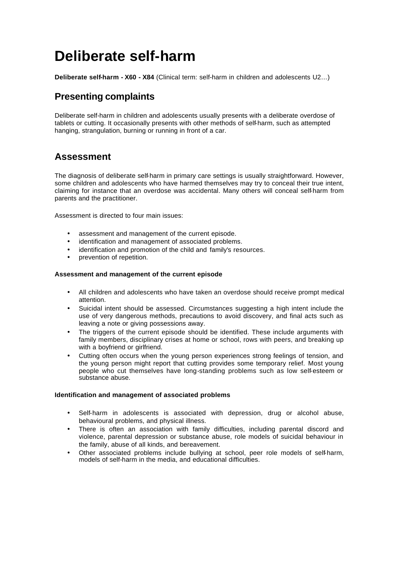# **Deliberate self-harm**

**Deliberate self-harm - X60 - X84** (Clinical term: self-harm in children and adolescents U2…)

# **Presenting complaints**

Deliberate self-harm in children and adolescents usually presents with a deliberate overdose of tablets or cutting. It occasionally presents with other methods of self-harm, such as attempted hanging, strangulation, burning or running in front of a car.

### **Assessment**

The diagnosis of deliberate self-harm in primary care settings is usually straightforward. However, some children and adolescents who have harmed themselves may try to conceal their true intent, claiming for instance that an overdose was accidental. Many others will conceal self-harm from parents and the practitioner.

Assessment is directed to four main issues:

- assessment and management of the current episode.
- identification and management of associated problems.
- identification and promotion of the child and family's resources.
- prevention of repetition.

### **Assessment and management of the current episode**

- All children and adolescents who have taken an overdose should receive prompt medical attention.
- Suicidal intent should be assessed. Circumstances suggesting a high intent include the use of very dangerous methods, precautions to avoid discovery, and final acts such as leaving a note or giving possessions away.
- The triggers of the current episode should be identified. These include arguments with family members, disciplinary crises at home or school, rows with peers, and breaking up with a boyfriend or girlfriend.
- Cutting often occurs when the young person experiences strong feelings of tension, and the young person might report that cutting provides some temporary relief. Most young people who cut themselves have long-standing problems such as low self-esteem or substance abuse.

#### **Identification and management of associated problems**

- Self-harm in adolescents is associated with depression, drug or alcohol abuse, behavioural problems, and physical illness.
- There is often an association with family difficulties, including parental discord and violence, parental depression or substance abuse, role models of suicidal behaviour in the family, abuse of all kinds, and bereavement.
- Other associated problems include bullying at school, peer role models of self-harm, models of self-harm in the media, and educational difficulties.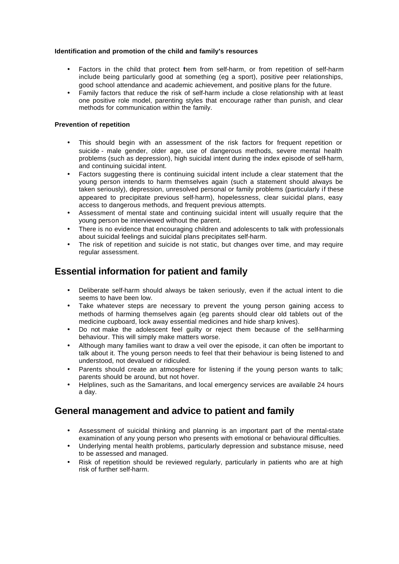### **Identification and promotion of the child and family's resources**

- Factors in the child that protect them from self-harm, or from repetition of self-harm include being particularly good at something (eg a sport), positive peer relationships, good school attendance and academic achievement, and positive plans for the future.
- Family factors that reduce the risk of self-harm include a close relationship with at least one positive role model, parenting styles that encourage rather than punish, and clear methods for communication within the family.

### **Prevention of repetition**

- This should begin with an assessment of the risk factors for frequent repetition or suicide - male gender, older age, use of dangerous methods, severe mental health problems (such as depression), high suicidal intent during the index episode of self-harm, and continuing suicidal intent.
- Factors suggesting there is continuing suicidal intent include a clear statement that the young person intends to harm themselves again (such a statement should always be taken seriously), depression, unresolved personal or family problems (particularly if these appeared to precipitate previous self-harm), hopelessness, clear suicidal plans, easy access to dangerous methods, and frequent previous attempts.
- Assessment of mental state and continuing suicidal intent will usually require that the young person be interviewed without the parent.
- There is no evidence that encouraging children and adolescents to talk with professionals about suicidal feelings and suicidal plans precipitates self-harm.
- The risk of repetition and suicide is not static, but changes over time, and may require regular assessment.

### **Essential information for patient and family**

- Deliberate self-harm should always be taken seriously, even if the actual intent to die seems to have been low.
- Take whatever steps are necessary to prevent the young person gaining access to methods of harming themselves again (eg parents should clear old tablets out of the medicine cupboard, lock away essential medicines and hide sharp knives).
- Do not make the adolescent feel guilty or reject them because of the self-harming behaviour. This will simply make matters worse.
- Although many families want to draw a veil over the episode, it can often be important to talk about it. The young person needs to feel that their behaviour is being listened to and understood, not devalued or ridiculed.
- Parents should create an atmosphere for listening if the young person wants to talk; parents should be around, but not hover.
- Helplines, such as the Samaritans, and local emergency services are available 24 hours a day.

### **General management and advice to patient and family**

- Assessment of suicidal thinking and planning is an important part of the mental-state examination of any young person who presents with emotional or behavioural difficulties.
- Underlying mental health problems, particularly depression and substance misuse, need to be assessed and managed.
- Risk of repetition should be reviewed regularly, particularly in patients who are at high risk of further self-harm.